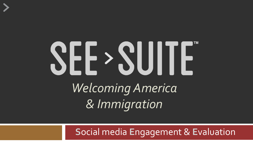# SEE > SUITE *Welcoming America & Immigration*

**S**ocial media **E**ngagement & **E**valuation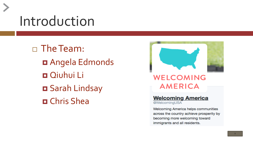#### Introduction

 The Team: Angela Edmonds Qiuhui Li Sarah Lindsay Chris Shea



#### **WELCOMING AMERICA**

#### **Welcoming America** @WelcomingUSA

Welcoming America helps communities across the country achieve prosperity by becoming more welcoming toward immigrants and all residents.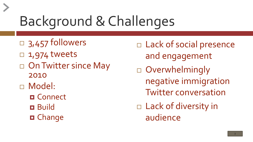## Background & Challenges

- $\Box$  3,457 followers
- $\Box$  1,974 tweets
- □ On Twitter since May 2010
- Model:
	- **O** Connect **Build**
	- **D** Change

 Lack of social presence and engagement Overwhelmingly negative immigration Twitter conversation Lack of diversity in audience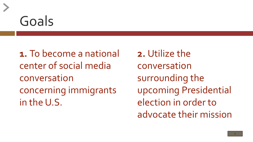#### Goals

**1.** To become a national center of social media conversation concerning immigrants in the U.S.

**2.** Utilize the conversation surrounding the upcoming Presidential election in order to advocate their mission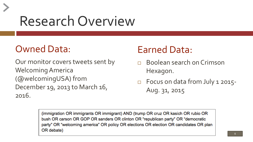#### Research Overview

#### Owned Data:

Our monitor covers tweets sent by Welcoming America (@welcomingUSA) from December 19, 2013 to March 16, 2016.

#### Earned Data:

- Boolean search on Crimson Hexagon.
- □ Focus on data from July 1 2015-Aug. 31, 2015

(immigration OR immigrants OR immigrant) AND (trump OR cruz OR kasich OR rubio OR bush OR carson OR GOP OR sanders OR clinton OR "republican party" OR "democratic party" OR "welcoming america" OR policy OR elections OR election OR candidates OR plan OR debate)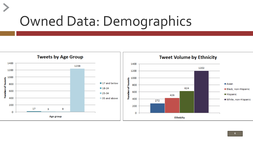## Owned Data: Demographics

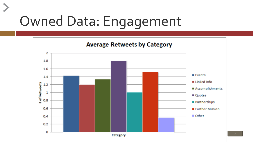## Owned Data: Engagement

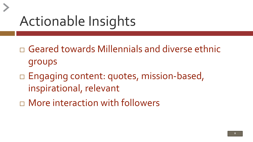## Actionable Insights

 Geared towards Millennials and diverse ethnic groups

- □ Engaging content: quotes, mission-based, inspirational, relevant
- More interaction with followers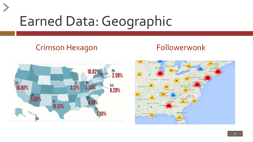## Earned Data: Geographic

#### Crimson Hexagon Followerwonk



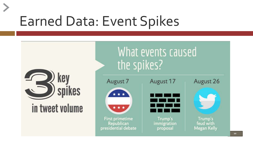#### Earned Data: Event Spikes



#### in tweet volume



August 7



**First primetime** Republican presidential debate



August 17

Trump's immigration proposal





Trump's feud with **Megan Kelly**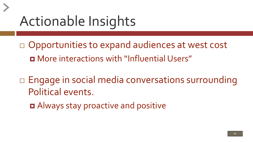## Actionable Insights

- $\Box$  Opportunities to expand audiences at west cost More interactions with "Influential Users"
- □ Engage in social media conversations surrounding Political events.
	- Always stay proactive and positive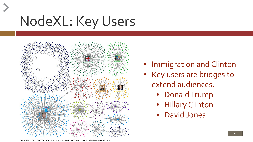## NodeXL: Key Users



- Immigration and Clinton
- Key users are bridges to extend audiences.
	- Donald Trump
	- Hillary Clinton
	- David Jones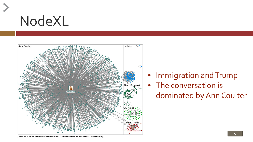



- Immigration and Trump
- The conversation is dominated by Ann Coulter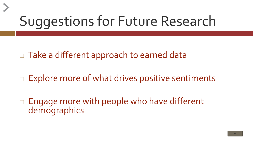## Suggestions for Future Research

□ Take a different approach to earned data

 $\Box$  Explore more of what drives positive sentiments

 $\Box$  Engage more with people who have different demographics